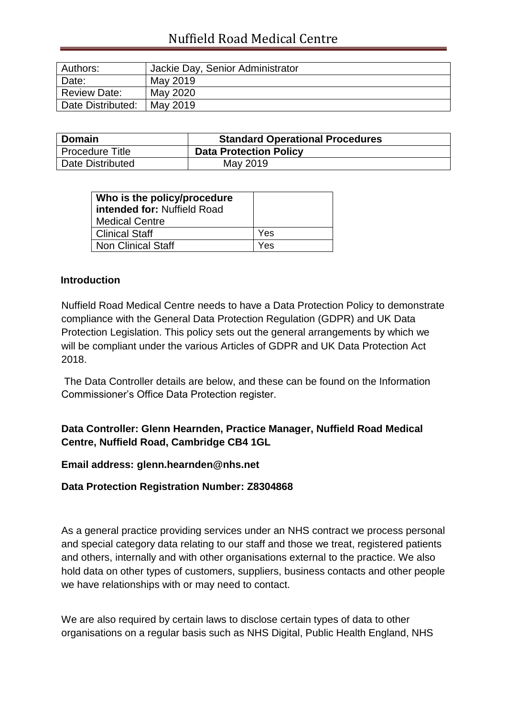# Nuffield Road Medical Centre

| Authors:          | Jackie Day, Senior Administrator |
|-------------------|----------------------------------|
| Date:             | May 2019                         |
| Review Date:      | May 2020                         |
| Date Distributed: | May 2019                         |

| Domain            | <b>Standard Operational Procedures</b> |  |
|-------------------|----------------------------------------|--|
| l Procedure Title | <b>Data Protection Policy</b>          |  |
| Date Distributed  | May 2019                               |  |

| Who is the policy/procedure<br>l intended for: Nuffield Road<br>  Medical Centre |     |
|----------------------------------------------------------------------------------|-----|
| Clinical Staff                                                                   | Yes |
| Non Clinical Staff                                                               | Yes |

#### **Introduction**

Nuffield Road Medical Centre needs to have a Data Protection Policy to demonstrate compliance with the General Data Protection Regulation (GDPR) and UK Data Protection Legislation. This policy sets out the general arrangements by which we will be compliant under the various Articles of GDPR and UK Data Protection Act 2018.

The Data Controller details are below, and these can be found on the Information Commissioner's Office Data Protection register.

### **Data Controller: Glenn Hearnden, Practice Manager, Nuffield Road Medical Centre, Nuffield Road, Cambridge CB4 1GL**

#### **Email address: glenn.hearnden@nhs.net**

#### **Data Protection Registration Number: Z8304868**

As a general practice providing services under an NHS contract we process personal and special category data relating to our staff and those we treat, registered patients and others, internally and with other organisations external to the practice. We also hold data on other types of customers, suppliers, business contacts and other people we have relationships with or may need to contact.

We are also required by certain laws to disclose certain types of data to other organisations on a regular basis such as NHS Digital, Public Health England, NHS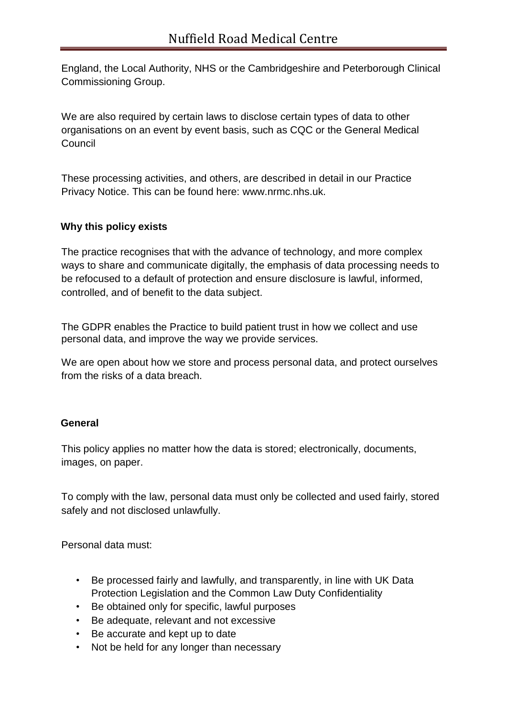England, the Local Authority, NHS or the Cambridgeshire and Peterborough Clinical Commissioning Group.

We are also required by certain laws to disclose certain types of data to other organisations on an event by event basis, such as CQC or the General Medical **Council** 

These processing activities, and others, are described in detail in our Practice Privacy Notice. This can be found here: www.nrmc.nhs.uk.

#### **Why this policy exists**

The practice recognises that with the advance of technology, and more complex ways to share and communicate digitally, the emphasis of data processing needs to be refocused to a default of protection and ensure disclosure is lawful, informed, controlled, and of benefit to the data subject.

The GDPR enables the Practice to build patient trust in how we collect and use personal data, and improve the way we provide services.

We are open about how we store and process personal data, and protect ourselves from the risks of a data breach.

#### **General**

This policy applies no matter how the data is stored; electronically, documents, images, on paper.

To comply with the law, personal data must only be collected and used fairly, stored safely and not disclosed unlawfully.

Personal data must:

- Be processed fairly and lawfully, and transparently, in line with UK Data Protection Legislation and the Common Law Duty Confidentiality
- Be obtained only for specific, lawful purposes
- Be adequate, relevant and not excessive
- Be accurate and kept up to date
- Not be held for any longer than necessary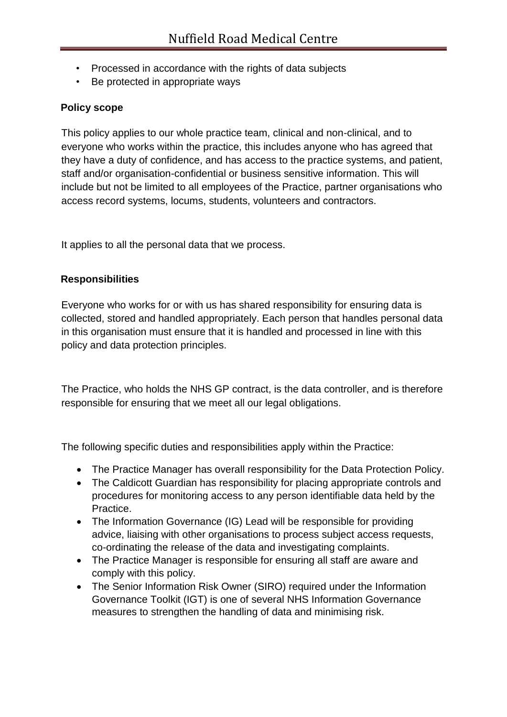- Processed in accordance with the rights of data subjects
- Be protected in appropriate ways

### **Policy scope**

This policy applies to our whole practice team, clinical and non-clinical, and to everyone who works within the practice, this includes anyone who has agreed that they have a duty of confidence, and has access to the practice systems, and patient, staff and/or organisation-confidential or business sensitive information. This will include but not be limited to all employees of the Practice, partner organisations who access record systems, locums, students, volunteers and contractors.

It applies to all the personal data that we process.

### **Responsibilities**

Everyone who works for or with us has shared responsibility for ensuring data is collected, stored and handled appropriately. Each person that handles personal data in this organisation must ensure that it is handled and processed in line with this policy and data protection principles.

The Practice, who holds the NHS GP contract, is the data controller, and is therefore responsible for ensuring that we meet all our legal obligations.

The following specific duties and responsibilities apply within the Practice:

- The Practice Manager has overall responsibility for the Data Protection Policy.
- The Caldicott Guardian has responsibility for placing appropriate controls and procedures for monitoring access to any person identifiable data held by the Practice.
- The Information Governance (IG) Lead will be responsible for providing advice, liaising with other organisations to process subject access requests, co-ordinating the release of the data and investigating complaints.
- The Practice Manager is responsible for ensuring all staff are aware and comply with this policy.
- The Senior Information Risk Owner (SIRO) required under the Information Governance Toolkit (IGT) is one of several NHS Information Governance measures to strengthen the handling of data and minimising risk.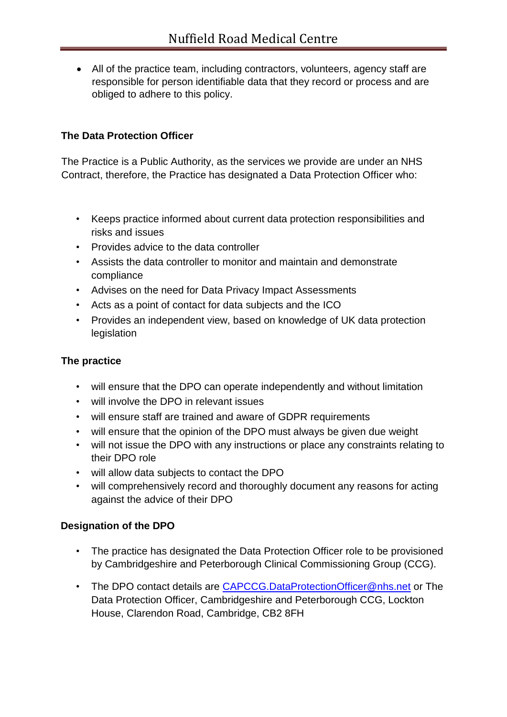All of the practice team, including contractors, volunteers, agency staff are responsible for person identifiable data that they record or process and are obliged to adhere to this policy.

## **The Data Protection Officer**

The Practice is a Public Authority, as the services we provide are under an NHS Contract, therefore, the Practice has designated a Data Protection Officer who:

- Keeps practice informed about current data protection responsibilities and risks and issues
- Provides advice to the data controller
- Assists the data controller to monitor and maintain and demonstrate compliance
- Advises on the need for Data Privacy Impact Assessments
- Acts as a point of contact for data subjects and the ICO
- Provides an independent view, based on knowledge of UK data protection legislation

## **The practice**

- will ensure that the DPO can operate independently and without limitation
- will involve the DPO in relevant issues
- will ensure staff are trained and aware of GDPR requirements
- will ensure that the opinion of the DPO must always be given due weight
- will not issue the DPO with any instructions or place any constraints relating to their DPO role
- will allow data subjects to contact the DPO
- will comprehensively record and thoroughly document any reasons for acting against the advice of their DPO

## **Designation of the DPO**

- The practice has designated the Data Protection Officer role to be provisioned by Cambridgeshire and Peterborough Clinical Commissioning Group (CCG).
- The DPO contact details are [CAPCCG.DataProtectionOfficer@nhs.net](mailto:CAPCCG.DataProtectionOfficer@nhs.net) or The Data Protection Officer, Cambridgeshire and Peterborough CCG, Lockton House, Clarendon Road, Cambridge, CB2 8FH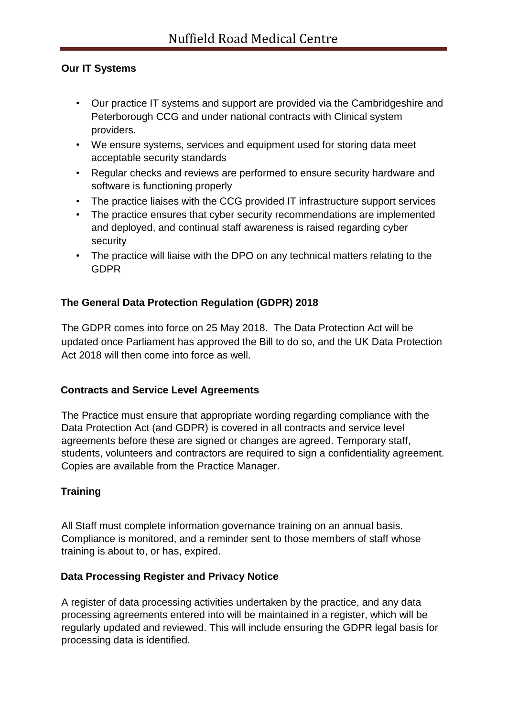### **Our IT Systems**

- Our practice IT systems and support are provided via the Cambridgeshire and Peterborough CCG and under national contracts with Clinical system providers.
- We ensure systems, services and equipment used for storing data meet acceptable security standards
- Regular checks and reviews are performed to ensure security hardware and software is functioning properly
- The practice liaises with the CCG provided IT infrastructure support services
- The practice ensures that cyber security recommendations are implemented and deployed, and continual staff awareness is raised regarding cyber security
- The practice will liaise with the DPO on any technical matters relating to the GDPR

## **The General Data Protection Regulation (GDPR) 2018**

The GDPR comes into force on 25 May 2018. The Data Protection Act will be updated once Parliament has approved the Bill to do so, and the UK Data Protection Act 2018 will then come into force as well.

#### **Contracts and Service Level Agreements**

The Practice must ensure that appropriate wording regarding compliance with the Data Protection Act (and GDPR) is covered in all contracts and service level agreements before these are signed or changes are agreed. Temporary staff, students, volunteers and contractors are required to sign a confidentiality agreement. Copies are available from the Practice Manager.

#### **Training**

All Staff must complete information governance training on an annual basis. Compliance is monitored, and a reminder sent to those members of staff whose training is about to, or has, expired.

#### **Data Processing Register and Privacy Notice**

A register of data processing activities undertaken by the practice, and any data processing agreements entered into will be maintained in a register, which will be regularly updated and reviewed. This will include ensuring the GDPR legal basis for processing data is identified.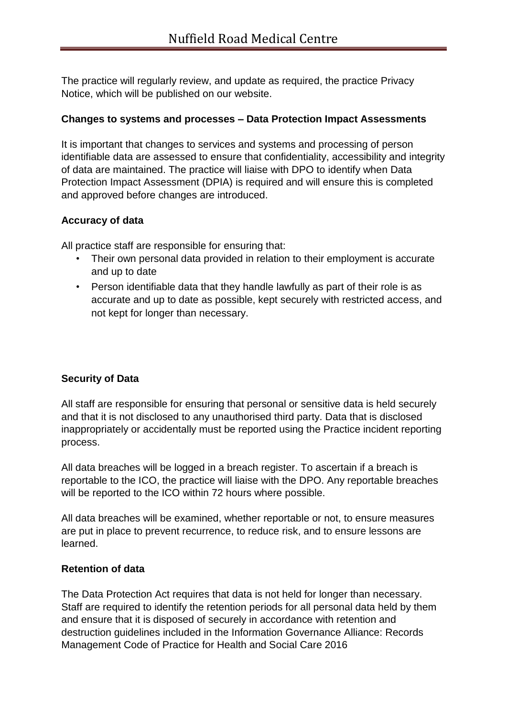The practice will regularly review, and update as required, the practice Privacy Notice, which will be published on our website.

#### **Changes to systems and processes – Data Protection Impact Assessments**

It is important that changes to services and systems and processing of person identifiable data are assessed to ensure that confidentiality, accessibility and integrity of data are maintained. The practice will liaise with DPO to identify when Data Protection Impact Assessment (DPIA) is required and will ensure this is completed and approved before changes are introduced.

#### **Accuracy of data**

All practice staff are responsible for ensuring that:

- Their own personal data provided in relation to their employment is accurate and up to date
- Person identifiable data that they handle lawfully as part of their role is as accurate and up to date as possible, kept securely with restricted access, and not kept for longer than necessary.

## **Security of Data**

All staff are responsible for ensuring that personal or sensitive data is held securely and that it is not disclosed to any unauthorised third party. Data that is disclosed inappropriately or accidentally must be reported using the Practice incident reporting process.

All data breaches will be logged in a breach register. To ascertain if a breach is reportable to the ICO, the practice will liaise with the DPO. Any reportable breaches will be reported to the ICO within 72 hours where possible.

All data breaches will be examined, whether reportable or not, to ensure measures are put in place to prevent recurrence, to reduce risk, and to ensure lessons are learned.

#### **Retention of data**

The Data Protection Act requires that data is not held for longer than necessary. Staff are required to identify the retention periods for all personal data held by them and ensure that it is disposed of securely in accordance with retention and destruction guidelines included in the Information Governance Alliance: Records Management Code of Practice for Health and Social Care 2016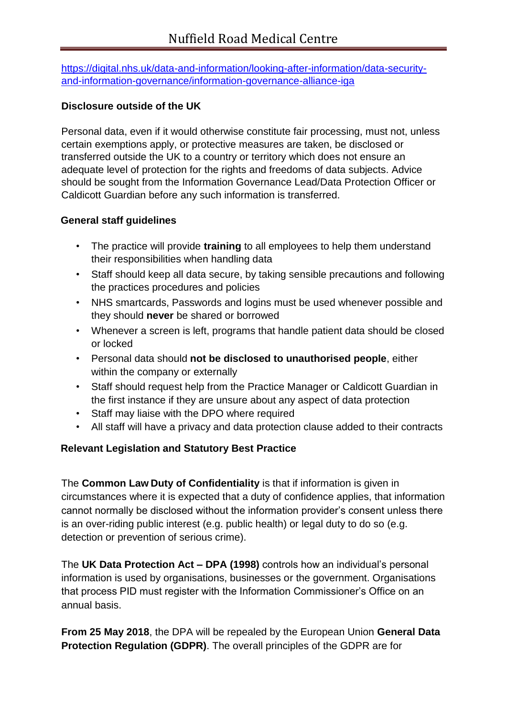[https://digital.nhs.uk/data-and-information/looking-after-information/data-security](https://digital.nhs.uk/data-and-information/looking-after-information/data-security-and-information-governance/information-governance-alliance-iga)[and-information-governance/information-governance-alliance-iga](https://digital.nhs.uk/data-and-information/looking-after-information/data-security-and-information-governance/information-governance-alliance-iga)

### **Disclosure outside of the UK**

Personal data, even if it would otherwise constitute fair processing, must not, unless certain exemptions apply, or protective measures are taken, be disclosed or transferred outside the UK to a country or territory which does not ensure an adequate level of protection for the rights and freedoms of data subjects. Advice should be sought from the Information Governance Lead/Data Protection Officer or Caldicott Guardian before any such information is transferred.

### **General staff guidelines**

- The practice will provide **training** to all employees to help them understand their responsibilities when handling data
- Staff should keep all data secure, by taking sensible precautions and following the practices procedures and policies
- NHS smartcards, Passwords and logins must be used whenever possible and they should **never** be shared or borrowed
- Whenever a screen is left, programs that handle patient data should be closed or locked
- Personal data should **not be disclosed to unauthorised people**, either within the company or externally
- Staff should request help from the Practice Manager or Caldicott Guardian in the first instance if they are unsure about any aspect of data protection
- Staff may liaise with the DPO where required
- All staff will have a privacy and data protection clause added to their contracts

## **Relevant Legislation and Statutory Best Practice**

The **Common Law Duty of Confidentiality** is that if information is given in circumstances where it is expected that a duty of confidence applies, that information cannot normally be disclosed without the information provider's consent unless there is an over-riding public interest (e.g. public health) or legal duty to do so (e.g. detection or prevention of serious crime).

The **UK Data Protection Act – DPA (1998)** controls how an individual's personal information is used by organisations, businesses or the government. Organisations that process PID must register with the Information Commissioner's Office on an annual basis.

**From 25 May 2018**, the DPA will be repealed by the European Union **General Data Protection Regulation (GDPR)**. The overall principles of the GDPR are for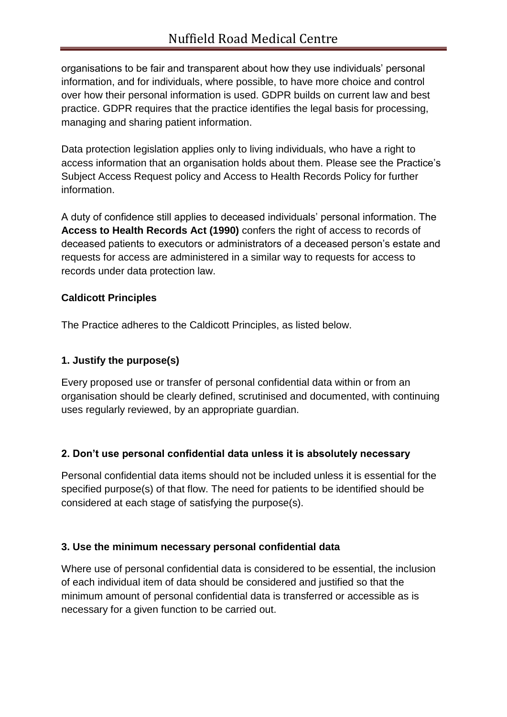organisations to be fair and transparent about how they use individuals' personal information, and for individuals, where possible, to have more choice and control over how their personal information is used. GDPR builds on current law and best practice. GDPR requires that the practice identifies the legal basis for processing, managing and sharing patient information.

Data protection legislation applies only to living individuals, who have a right to access information that an organisation holds about them. Please see the Practice's Subject Access Request policy and Access to Health Records Policy for further information.

A duty of confidence still applies to deceased individuals' personal information. The **Access to Health Records Act (1990)** confers the right of access to records of deceased patients to executors or administrators of a deceased person's estate and requests for access are administered in a similar way to requests for access to records under data protection law.

## **Caldicott Principles**

The Practice adheres to the Caldicott Principles, as listed below.

### **1. Justify the purpose(s)**

Every proposed use or transfer of personal confidential data within or from an organisation should be clearly defined, scrutinised and documented, with continuing uses regularly reviewed, by an appropriate guardian.

## **2. Don't use personal confidential data unless it is absolutely necessary**

Personal confidential data items should not be included unless it is essential for the specified purpose(s) of that flow. The need for patients to be identified should be considered at each stage of satisfying the purpose(s).

#### **3. Use the minimum necessary personal confidential data**

Where use of personal confidential data is considered to be essential, the inclusion of each individual item of data should be considered and justified so that the minimum amount of personal confidential data is transferred or accessible as is necessary for a given function to be carried out.